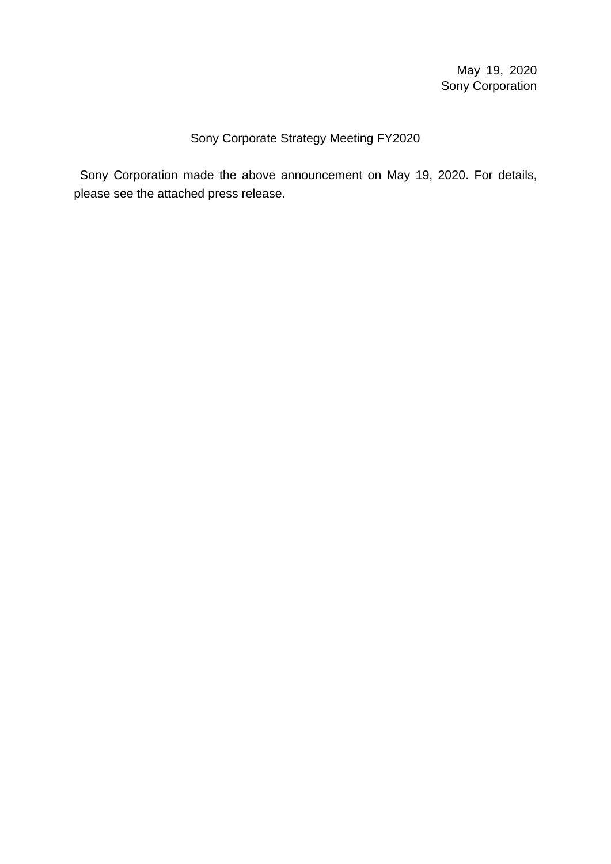### Sony Corporate Strategy Meeting FY2020

Sony Corporation made the above announcement on May 19, 2020. For details, please see the attached press release.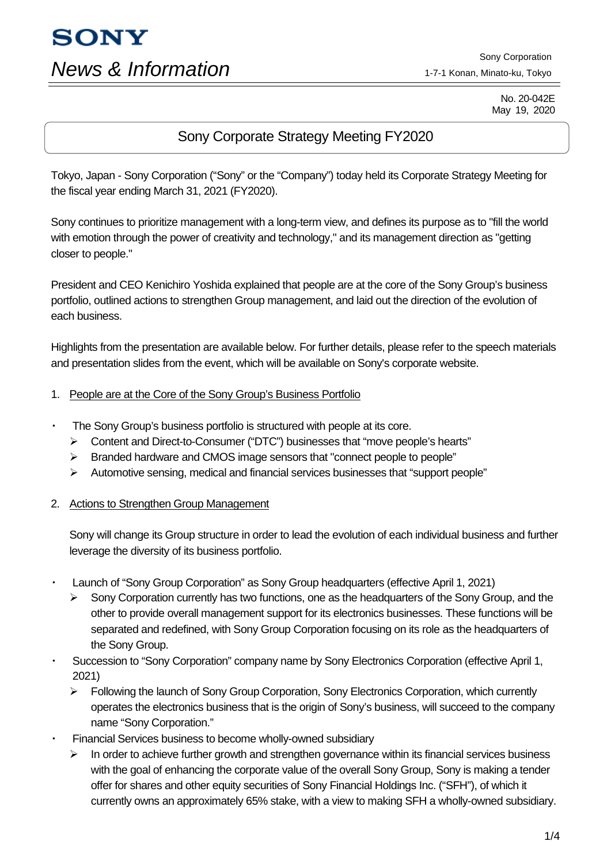# **SONY** *News & Information*

Sony Corporation 1-7-1 Konan, Minato-ku, Tokyo

> No. 20-042E May 19, 2020

## Sony Corporate Strategy Meeting FY2020

Tokyo, Japan - Sony Corporation ("Sony" or the "Company") today held its Corporate Strategy Meeting for the fiscal year ending March 31, 2021 (FY2020).

Sony continues to prioritize management with a long-term view, and defines its purpose as to "fill the world with emotion through the power of creativity and technology," and its management direction as "getting closer to people."

President and CEO Kenichiro Yoshida explained that people are at the core of the Sony Group's business portfolio, outlined actions to strengthen Group management, and laid out the direction of the evolution of each business.

Highlights from the presentation are available below. For further details, please refer to the speech materials and presentation slides from the event, which will be available on Sony's corporate website.

- 1. People are at the Core of the Sony Group's Business Portfolio
- The Sony Group's business portfolio is structured with people at its core.
	- Content and Direct-to-Consumer ("DTC") businesses that "move people's hearts"
	- $\triangleright$  Branded hardware and CMOS image sensors that "connect people to people"
	- $\triangleright$  Automotive sensing, medical and financial services businesses that "support people"

#### 2. Actions to Strengthen Group Management

Sony will change its Group structure in order to lead the evolution of each individual business and further leverage the diversity of its business portfolio.

- Launch of "Sony Group Corporation" as Sony Group headquarters (effective April 1, 2021)
	- $\triangleright$  Sony Corporation currently has two functions, one as the headquarters of the Sony Group, and the other to provide overall management support for its electronics businesses. These functions will be separated and redefined, with Sony Group Corporation focusing on its role as the headquarters of the Sony Group.
- Succession to "Sony Corporation" company name by Sony Electronics Corporation (effective April 1, 2021)
	- $\triangleright$  Following the launch of Sony Group Corporation, Sony Electronics Corporation, which currently operates the electronics business that is the origin of Sony's business, will succeed to the company name "Sony Corporation."
- Financial Services business to become wholly-owned subsidiary
	- In order to achieve further growth and strengthen governance within its financial services business with the goal of enhancing the corporate value of the overall Sony Group, Sony is making a tender offer for shares and other equity securities of Sony Financial Holdings Inc. ("SFH"), of which it currently owns an approximately 65% stake, with a view to making SFH a wholly-owned subsidiary.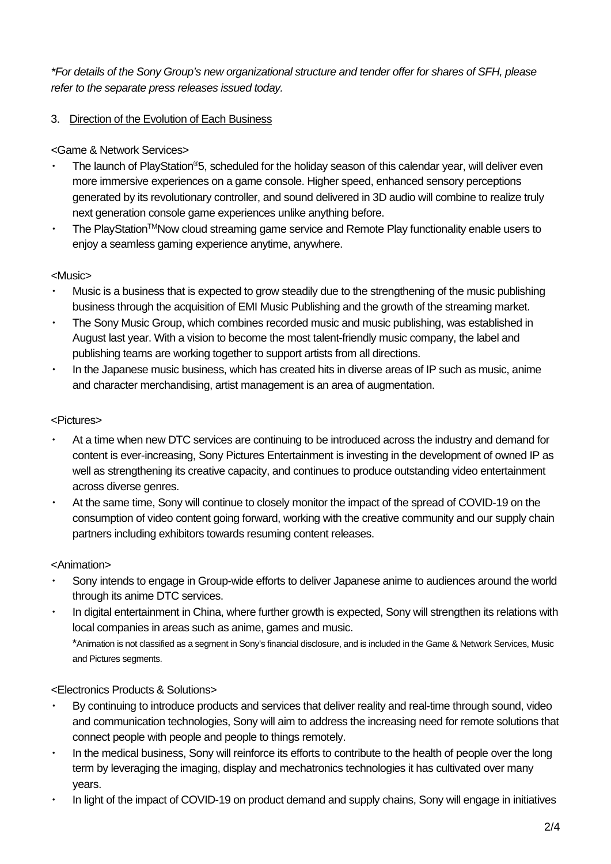*\*For details of the Sony Group's new organizational structure and tender offer for shares of SFH, please refer to the separate press releases issued today.*

#### 3. Direction of the Evolution of Each Business

#### <Game & Network Services>

- The launch of PlayStation®5, scheduled for the holiday season of this calendar year, will deliver even more immersive experiences on a game console. Higher speed, enhanced sensory perceptions generated by its revolutionary controller, and sound delivered in 3D audio will combine to realize truly next generation console game experiences unlike anything before.
- The PlavStation™Now cloud streaming game service and Remote Play functionality enable users to enjoy a seamless gaming experience anytime, anywhere.

#### <Music>

- Music is a business that is expected to grow steadily due to the strengthening of the music publishing business through the acquisition of EMI Music Publishing and the growth of the streaming market.
- The Sony Music Group, which combines recorded music and music publishing, was established in August last year. With a vision to become the most talent-friendly music company, the label and publishing teams are working together to support artists from all directions.
- In the Japanese music business, which has created hits in diverse areas of IP such as music, anime and character merchandising, artist management is an area of augmentation.

#### <Pictures>

- At a time when new DTC services are continuing to be introduced across the industry and demand for content is ever-increasing, Sony Pictures Entertainment is investing in the development of owned IP as well as strengthening its creative capacity, and continues to produce outstanding video entertainment across diverse genres.
- At the same time, Sony will continue to closely monitor the impact of the spread of COVID-19 on the consumption of video content going forward, working with the creative community and our supply chain partners including exhibitors towards resuming content releases.

#### <Animation>

- Sony intends to engage in Group-wide efforts to deliver Japanese anime to audiences around the world through its anime DTC services.
- In digital entertainment in China, where further growth is expected, Sony will strengthen its relations with local companies in areas such as anime, games and music. \*Animation is not classified as a segment in Sony's financial disclosure, and is included in the Game & Network Services, Music and Pictures segments.

#### <Electronics Products & Solutions>

- By continuing to introduce products and services that deliver reality and real-time through sound, video and communication technologies, Sony will aim to address the increasing need for remote solutions that connect people with people and people to things remotely.
- In the medical business, Sony will reinforce its efforts to contribute to the health of people over the long term by leveraging the imaging, display and mechatronics technologies it has cultivated over many years.
- In light of the impact of COVID-19 on product demand and supply chains, Sony will engage in initiatives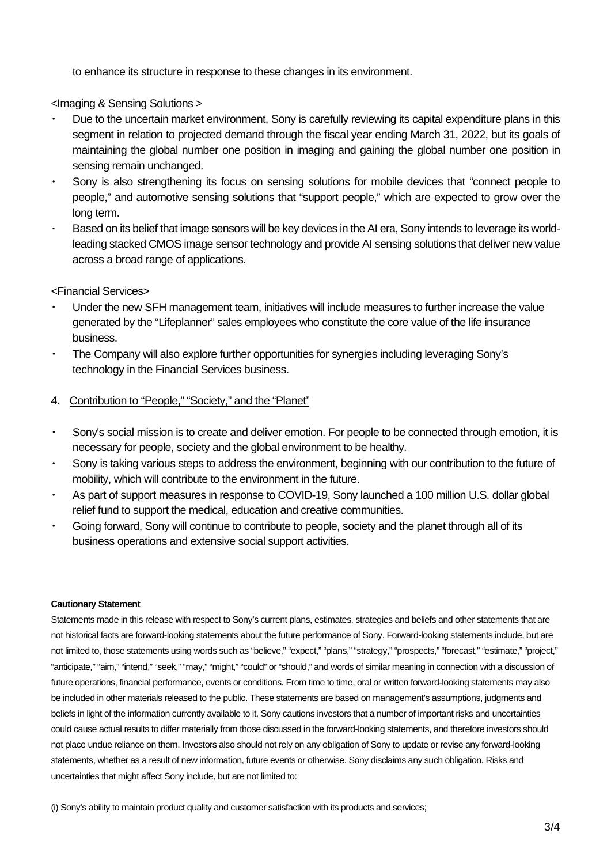to enhance its structure in response to these changes in its environment.

<Imaging & Sensing Solutions >

- Due to the uncertain market environment, Sony is carefully reviewing its capital expenditure plans in this segment in relation to projected demand through the fiscal year ending March 31, 2022, but its goals of maintaining the global number one position in imaging and gaining the global number one position in sensing remain unchanged.
- Sony is also strengthening its focus on sensing solutions for mobile devices that "connect people to people," and automotive sensing solutions that "support people," which are expected to grow over the long term.
- Based on its belief that image sensors will be key devices in the AI era, Sony intends to leverage its worldleading stacked CMOS image sensor technology and provide AI sensing solutions that deliver new value across a broad range of applications.

<Financial Services>

- Under the new SFH management team, initiatives will include measures to further increase the value generated by the "Lifeplanner" sales employees who constitute the core value of the life insurance business.
- ・ The Company will also explore further opportunities for synergies including leveraging Sony's technology in the Financial Services business.
- 4. Contribution to "People," "Society," and the "Planet"
- Sony's social mission is to create and deliver emotion. For people to be connected through emotion, it is necessary for people, society and the global environment to be healthy.
- Sony is taking various steps to address the environment, beginning with our contribution to the future of mobility, which will contribute to the environment in the future.
- As part of support measures in response to COVID-19, Sony launched a 100 million U.S. dollar global relief fund to support the medical, education and creative communities.
- Going forward, Sony will continue to contribute to people, society and the planet through all of its business operations and extensive social support activities.

#### **Cautionary Statement**

Statements made in this release with respect to Sony's current plans, estimates, strategies and beliefs and other statements that are not historical facts are forward-looking statements about the future performance of Sony. Forward-looking statements include, but are not limited to, those statements using words such as "believe," "expect," "plans," "strategy," "prospects," "forecast," "estimate," "project," "anticipate," "aim," "intend," "seek," "may," "might," "could" or "should," and words of similar meaning in connection with a discussion of future operations, financial performance, events or conditions. From time to time, oral or written forward-looking statements may also be included in other materials released to the public. These statements are based on management's assumptions, judgments and beliefs in light of the information currently available to it. Sony cautions investors that a number of important risks and uncertainties could cause actual results to differ materially from those discussed in the forward-looking statements, and therefore investors should not place undue reliance on them. Investors also should not rely on any obligation of Sony to update or revise any forward-looking statements, whether as a result of new information, future events or otherwise. Sony disclaims any such obligation. Risks and uncertainties that might affect Sony include, but are not limited to:

(i) Sony's ability to maintain product quality and customer satisfaction with its products and services;